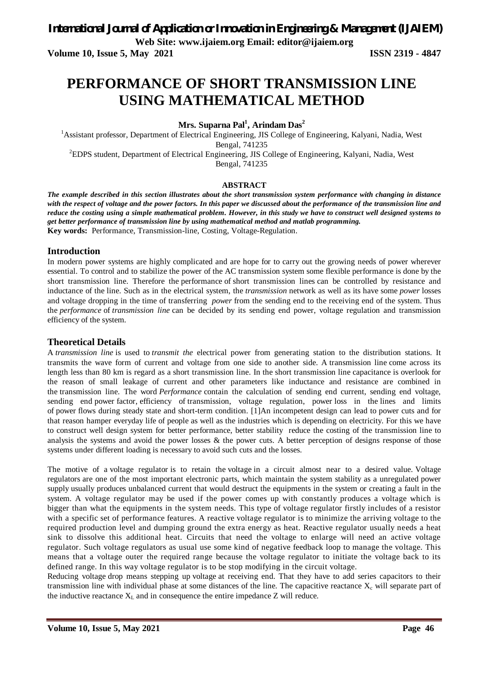**Web Site: www.ijaiem.org Email: editor@ijaiem.org**

**Volume 10, Issue 5, May 2021 ISSN 2319 - 4847**

# **PERFORMANCE OF SHORT TRANSMISSION LINE USING MATHEMATICAL METHOD**

**Mrs. Suparna Pal<sup>1</sup> , Arindam Das<sup>2</sup>**

<sup>1</sup> Assistant professor, Department of Electrical Engineering, JIS College of Engineering, Kalyani, Nadia, West Bengal, 741235 <sup>2</sup>EDPS student, Department of Electrical Engineering, JIS College of Engineering, Kalyani, Nadia, West Bengal, 741235

## **ABSTRACT**

*The example described in this section illustrates about the short transmission system performance with changing in distance with the respect of voltage and the power factors. In this paper we discussed about the performance of the transmission line and reduce the costing using a simple mathematical problem. However, in this study we have to construct well designed systems to get better performance of transmission line by using mathematical method and matlab programming.* **Key words:** Performance, Transmission-line, Costing, Voltage-Regulation.

#### **Introduction**

In modern power systems are highly complicated and are hope for to carry out the growing needs of power wherever essential. To control and to stabilize the power of the AC transmission system some flexible performance is done by the short transmission line. Therefore the performance of short transmission lines can be controlled by resistance and inductance of the line. Such as in the electrical system, the *transmission* network as well as its have some *power* losses and voltage dropping in the time of transferring *power* from the sending end to the receiving end of the system. Thus the *performance* of *transmission line* can be decided by its sending end power, voltage regulation and transmission efficiency of the system.

#### **Theoretical Details**

A *transmission line* is used to *transmit the* electrical power from generating station to the distribution stations. It transmits the wave form of current and voltage from one side to another side. A transmission line come across its length less than 80 km is regard as a short transmission line. In the short transmission line capacitance is overlook for the reason of small leakage of current and other parameters like inductance and resistance are combined in the transmission line. The word *Performance* contain the calculation of sending end current, sending end voltage, sending end power factor, efficiency of transmission, voltage regulation, power loss in the lines and limits of power flows during steady state and short-term condition. [1]An incompetent design can lead to power cuts and for that reason hamper everyday life of people as well as the industries which is depending on electricity. For this we have to construct well design system for better performance, better stability reduce the costing of the transmission line to analysis the systems and avoid the power losses  $\&$  the power cuts. A better perception of designs response of those systems under different loading is necessary to avoid such cuts and the losses.

The motive of a voltage regulator is to retain the voltage in a circuit almost near to a desired value. Voltage regulators are one of the most important electronic parts, which maintain the system stability as a unregulated power supply usually produces unbalanced current that would destruct the equipments in the system or creating a fault in the system. A voltage regulator may be used if the power comes up with constantly produces a voltage which is bigger than what the equipments in the system needs. This type of voltage regulator firstly includes of a resistor with a specific set of performance features. A reactive voltage regulator is to minimize the arriving voltage to the required production level and dumping ground the extra energy as heat. Reactive regulator usually needs a heat sink to dissolve this additional heat. Circuits that need the voltage to enlarge will need an active voltage regulator. Such voltage regulators as usual use some kind of negative feedback loop to manage the voltage. This means that a voltage outer the required range because the voltage regulator to initiate the voltage back to its defined range. In this way voltage regulator is to be stop modifying in the circuit voltage.

Reducing voltage drop means stepping up voltage at receiving end. That they have to add series capacitors to their transmission line with individual phase at some distances of the line. The capacitive reactance  $X_c$  will separate part of the inductive reactance  $X_L$  and in consequence the entire impedance Z will reduce.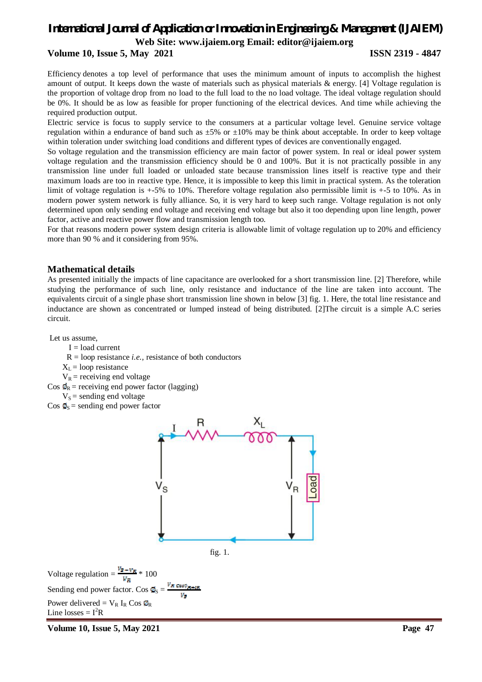# *International Journal of Application or Innovation in Engineering & Management (IJAIEM)*

**Web Site: www.ijaiem.org Email: editor@ijaiem.org**

#### **Volume 10, Issue 5, May 2021 ISSN 2319 - 4847**

Efficiency denotes a top level of performance that uses the minimum amount of inputs to accomplish the highest amount of output. It keeps down the waste of materials such as physical materials & energy. [4] Voltage regulation is the proportion of voltage drop from no load to the full load to the no load voltage. The ideal voltage regulation should be 0%. It should be as low as feasible for proper functioning of the electrical devices. And time while achieving the required production output.

Electric service is focus to supply service to the consumers at a particular voltage level. Genuine service voltage regulation within a endurance of band such as  $\pm 5\%$  or  $\pm 10\%$  may be think about acceptable. In order to keep voltage within toleration under switching load conditions and different types of devices are conventionally engaged.

So voltage regulation and the transmission efficiency are main factor of power system. In real or ideal power system voltage regulation and the transmission efficiency should be 0 and 100%. But it is not practically possible in any transmission line under full loaded or unloaded state because transmission lines itself is reactive type and their maximum loads are too in reactive type. Hence, it is impossible to keep this limit in practical system. As the toleration limit of voltage regulation is +-5% to 10%. Therefore voltage regulation also permissible limit is +-5 to 10%. As in modern power system network is fully alliance. So, it is very hard to keep such range. Voltage regulation is not only determined upon only sending end voltage and receiving end voltage but also it too depending upon line length, power factor, active and reactive power flow and transmission length too.

For that reasons modern power system design criteria is allowable limit of voltage regulation up to 20% and efficiency more than 90 % and it considering from 95%.

#### **Mathematical details**

As presented initially the impacts of line capacitance are overlooked for a short transmission line. [2] Therefore, while studying the performance of such line, only resistance and inductance of the line are taken into account. The equivalents circuit of a single phase short transmission line shown in below [3] fig. 1. Here, the total line resistance and inductance are shown as concentrated or lumped instead of being distributed. [2]The circuit is a simple A.C series circuit.

Let us assume,

- $I =$ load current
- $R =$ loop resistance *i.e.*, resistance of both conductors
- $X_L$  = loop resistance
- $V_R$  = receiving end voltage
- Cos  $\Phi_R$  = receiving end power factor (lagging)
	- $V_s$  = sending end voltage
- $\cos \phi_s$  = sending end power factor



fig. 1.

Voltage regulation =  $\frac{v_{\overline{B}} - v_{\overline{B}}}{v} \cdot 100$ Sending end power factor. Cos  $\phi_s$  = Power delivered =  $V_R$  I<sub>R</sub> Cos  $\Phi_R$ Line losses  $= I^2R$ 

**Volume 10, Issue 5, May 2021 Page 47**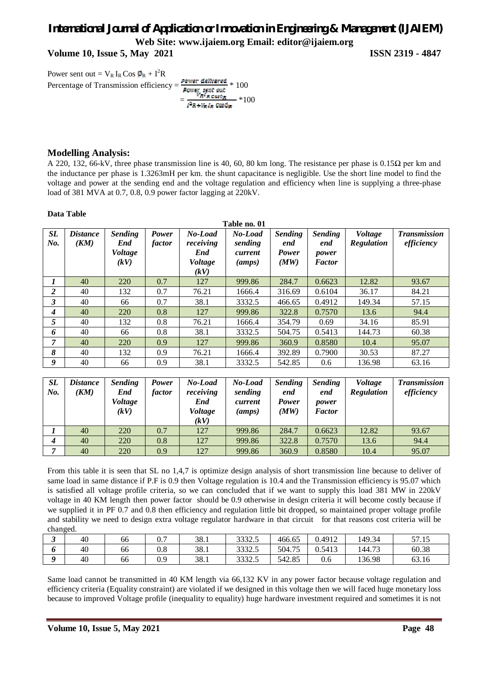**Volume 10, Issue 5, May 2021 ISSN 2319 - 4847**

Power sent out =  $V_R I_R \cos \phi_R + I^2 R$ Percentage of Transmission efficiency =  $\frac{Power\ delivered}{Term\ read} * 100$ **Fower sent out**  $\frac{V_R I_R \cos \phi_R}{I^2 R + V_R I_R \cos \phi_R}$  \*100

#### **Modelling Analysis:**

A 220, 132, 66-kV, three phase transmission line is 40, 60, 80 km long. The resistance per phase is 0.15 $\Omega$  per km and the inductance per phase is 1.3263mH per km. the shunt capacitance is negligible. Use the short line model to find the voltage and power at the sending end and the voltage regulation and efficiency when line is supplying a three-phase load of 381 MVA at 0.7, 0.8, 0.9 power factor lagging at 220kV.

#### **Data Table**

| <b>SL</b><br>No. | <b>Distance</b><br>(KM) | <b>Sending</b><br>End<br><i>Voltage</i><br>(kV) | Power<br>factor | No-Load<br>receiving<br>End<br><i>Voltage</i><br>(kV) | No-Load<br>sending<br>current<br>(amps) | <b>Sending</b><br>end<br><b>Power</b><br>(MW) | <b>Sending</b><br>end<br>power<br><b>Factor</b> | <b>Voltage</b><br>Regulation | <b>Transmission</b><br>efficiency |
|------------------|-------------------------|-------------------------------------------------|-----------------|-------------------------------------------------------|-----------------------------------------|-----------------------------------------------|-------------------------------------------------|------------------------------|-----------------------------------|
|                  | 40                      | 220                                             | 0.7             | 127                                                   | 999.86                                  | 284.7                                         | 0.6623                                          | 12.82                        | 93.67                             |
| $\overline{2}$   | 40                      | 132                                             | 0.7             | 76.21                                                 | 1666.4                                  | 316.69                                        | 0.6104                                          | 36.17                        | 84.21                             |
| $\mathbf{3}$     | 40                      | 66                                              | 0.7             | 38.1                                                  | 3332.5                                  | 466.65                                        | 0.4912                                          | 149.34                       | 57.15                             |
| $\boldsymbol{4}$ | 40                      | 220                                             | 0.8             | 127                                                   | 999.86                                  | 322.8                                         | 0.7570                                          | 13.6                         | 94.4                              |
| 5                | 40                      | 132                                             | 0.8             | 76.21                                                 | 1666.4                                  | 354.79                                        | 0.69                                            | 34.16                        | 85.91                             |
| 6                | 40                      | 66                                              | 0.8             | 38.1                                                  | 3332.5                                  | 504.75                                        | 0.5413                                          | 144.73                       | 60.38                             |
| 7                | 40                      | 220                                             | 0.9             | 127                                                   | 999.86                                  | 360.9                                         | 0.8580                                          | 10.4                         | 95.07                             |
| 8                | 40                      | 132                                             | 0.9             | 76.21                                                 | 1666.4                                  | 392.89                                        | 0.7900                                          | 30.53                        | 87.27                             |
| 9                | 40                      | 66                                              | 0.9             | 38.1                                                  | 3332.5                                  | 542.85                                        | 0.6                                             | 136.98                       | 63.16                             |

| <b>SL</b><br>No. | <i><b>Distance</b></i><br>(KM) | <i>Sending</i><br>End<br><i>Voltage</i><br>(kV) | <b>Power</b><br>factor | No-Load<br>receiving<br>End<br><b>Voltage</b><br>(kV) | No-Load<br>sending<br>current<br>(amps) | <b>Sending</b><br>end<br><b>Power</b><br>(MW) | <i>Sending</i><br>end<br>power<br><b>Factor</b> | Voltage<br>Regulation | <b>Transmission</b><br>efficiency |
|------------------|--------------------------------|-------------------------------------------------|------------------------|-------------------------------------------------------|-----------------------------------------|-----------------------------------------------|-------------------------------------------------|-----------------------|-----------------------------------|
|                  | 40                             | 220                                             | 0.7                    | 127                                                   | 999.86                                  | 284.7                                         | 0.6623                                          | 12.82                 | 93.67                             |
| $\boldsymbol{4}$ | 40                             | 220                                             | 0.8                    | 127                                                   | 999.86                                  | 322.8                                         | 0.7570                                          | 13.6                  | 94.4                              |
|                  | 40                             | 220                                             | 0.9                    | 127                                                   | 999.86                                  | 360.9                                         | 0.8580                                          | 10.4                  | 95.07                             |

From this table it is seen that SL no 1,4,7 is optimize design analysis of short transmission line because to deliver of same load in same distance if P.F is 0.9 then Voltage regulation is 10.4 and the Transmission efficiency is 95.07 which is satisfied all voltage profile criteria, so we can concluded that if we want to supply this load 381 MW in 220kV voltage in 40 KM length then power factor should be 0.9 otherwise in design criteria it will become costly because if we supplied it in PF 0.7 and 0.8 then efficiency and regulation little bit dropped, so maintained proper voltage profile and stability we need to design extra voltage regulator hardware in that circuit for that reasons cost criteria will be changed.

| ັ | 40 | 66 | $_{0.7}$ | 38.1 | 3332.5 | 466.65 | 0.4912 | 149.34 | 57.15 |
|---|----|----|----------|------|--------|--------|--------|--------|-------|
|   | 40 | 66 | $_{0.8}$ | 38.1 | 3332.5 | 504.75 | 0.5413 | 144.73 | 60.38 |
|   | 40 | 66 | 0.9      | 38.1 | 3332.5 | 542.85 | U.O    | 136.98 | 63.16 |

Same load cannot be transmitted in 40 KM length via 66,132 KV in any power factor because voltage regulation and efficiency criteria (Equality constraint) are violated if we designed in this voltage then we will faced huge monetary loss because to improved Voltage profile (inequality to equality) huge hardware investment required and sometimes it is not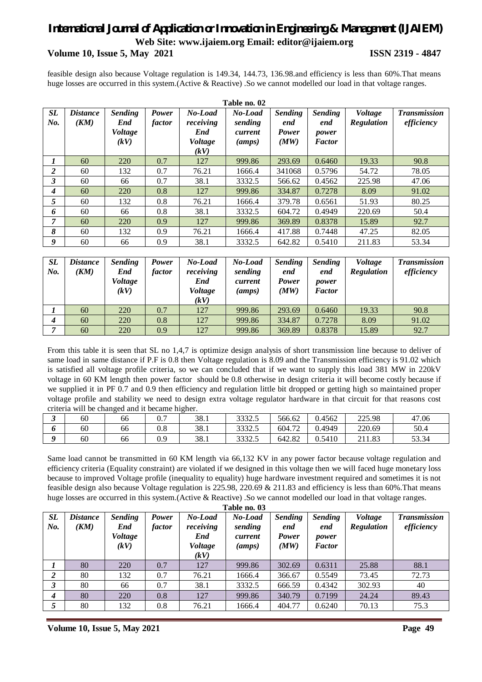#### **Volume 10, Issue 5, May 2021 ISSN 2319 - 4847**

feasible design also because Voltage regulation is 149.34, 144.73, 136.98.and efficiency is less than 60%.That means huge losses are occurred in this system.(Active & Reactive) .So we cannot modelled our load in that voltage ranges.

|                  |                         |                                          |                 |                                                       | Table no. 02                            |                                               |                                                 |                              |                                   |
|------------------|-------------------------|------------------------------------------|-----------------|-------------------------------------------------------|-----------------------------------------|-----------------------------------------------|-------------------------------------------------|------------------------------|-----------------------------------|
| <b>SL</b><br>No. | <i>Distance</i><br>(KM) | <b>Sending</b><br>End<br>Voltage<br>(kV) | Power<br>factor | No-Load<br>receiving<br>End<br><i>Voltage</i><br>(kV) | No-Load<br>sending<br>current<br>(amps) | <b>Sending</b><br>end<br><b>Power</b><br>(MW) | <b>Sending</b><br>end<br>power<br><b>Factor</b> | <b>Voltage</b><br>Regulation | <b>Transmission</b><br>efficiency |
|                  | 60                      | 220                                      | 0.7             | 127                                                   | 999.86                                  | 293.69                                        | 0.6460                                          | 19.33                        | 90.8                              |
| 2                | 60                      | 132                                      | 0.7             | 76.21                                                 | 1666.4                                  | 341068                                        | 0.5796                                          | 54.72                        | 78.05                             |
| 3                | 60                      | 66                                       | 0.7             | 38.1                                                  | 3332.5                                  | 566.62                                        | 0.4562                                          | 225.98                       | 47.06                             |
| 4                | 60                      | 220                                      | 0.8             | 127                                                   | 999.86                                  | 334.87                                        | 0.7278                                          | 8.09                         | 91.02                             |
| 5                | 60                      | 132                                      | 0.8             | 76.21                                                 | 1666.4                                  | 379.78                                        | 0.6561                                          | 51.93                        | 80.25                             |
| 6                | 60                      | 66                                       | 0.8             | 38.1                                                  | 3332.5                                  | 604.72                                        | 0.4949                                          | 220.69                       | 50.4                              |
| 7                | 60                      | 220                                      | 0.9             | 127                                                   | 999.86                                  | 369.89                                        | 0.8378                                          | 15.89                        | 92.7                              |
| 8                | 60                      | 132                                      | 0.9             | 76.21                                                 | 1666.4                                  | 417.88                                        | 0.7448                                          | 47.25                        | 82.05                             |
| 9                | 60                      | 66                                       | 0.9             | 38.1                                                  | 3332.5                                  | 642.82                                        | 0.5410                                          | 211.83                       | 53.34                             |

| <b>SL</b><br>No. | <i><b>Distance</b></i><br>(KM) | <b>Sending</b><br>End<br><i>Voltage</i><br>(kV) | <b>Power</b><br>factor | No-Load<br>receiving<br>End<br><b>Voltage</b><br>(kV) | No-Load<br>sending<br>current<br>(amps) | <b>Sending</b><br>end<br><b>Power</b><br>(MW) | <b>Sending</b><br>end<br>power<br><b>Factor</b> | <i>Voltage</i><br><b>Regulation</b> | <b>Transmission</b><br>efficiency |
|------------------|--------------------------------|-------------------------------------------------|------------------------|-------------------------------------------------------|-----------------------------------------|-----------------------------------------------|-------------------------------------------------|-------------------------------------|-----------------------------------|
|                  | 60                             | 220                                             | 0.7                    | 127                                                   | 999.86                                  | 293.69                                        | 0.6460                                          | 19.33                               | 90.8                              |
| 4                | 60                             | 220                                             | 0.8                    | 127                                                   | 999.86                                  | 334.87                                        | 0.7278                                          | 8.09                                | 91.02                             |
|                  | 60                             | 220                                             | 0.9                    | 127                                                   | 999.86                                  | 369.89                                        | 0.8378                                          | 15.89                               | 92.7                              |

From this table it is seen that SL no 1,4,7 is optimize design analysis of short transmission line because to deliver of same load in same distance if P.F is 0.8 then Voltage regulation is 8.09 and the Transmission efficiency is 91.02 which is satisfied all voltage profile criteria, so we can concluded that if we want to supply this load 381 MW in 220kV voltage in 60 KM length then power factor should be 0.8 otherwise in design criteria it will become costly because if we supplied it in PF 0.7 and 0.9 then efficiency and regulation little bit dropped or getting high so maintained proper voltage profile and stability we need to design extra voltage regulator hardware in that circuit for that reasons cost criteria will be changed and it became higher.

| ັ | 60 | 66 | υ.               | 38.1 | 22225<br>3332.J | 566.62 | 0.4562 | 225.98 | 47.06 |
|---|----|----|------------------|------|-----------------|--------|--------|--------|-------|
|   | 60 | 66 | റ റ<br>v.o       | 38.1 | 22225<br>3332.3 | 604.72 | 0.4949 | 220.69 | 50.4  |
|   | 60 | 66 | $\Omega$<br>∪. ∠ | 38.1 | 22225<br>3332.5 | 642.82 | 0.5410 | 211.83 | 53.34 |

Same load cannot be transmitted in 60 KM length via 66,132 KV in any power factor because voltage regulation and efficiency criteria (Equality constraint) are violated if we designed in this voltage then we will faced huge monetary loss because to improved Voltage profile (inequality to equality) huge hardware investment required and sometimes it is not feasible design also because Voltage regulation is 225.98, 220.69 & 211.83 and efficiency is less than 60%.That means huge losses are occurred in this system.(Active & Reactive) .So we cannot modelled our load in that voltage ranges.

|                  | Table no. 03            |                                          |                 |                                                       |                                         |                                               |                                                 |                              |                                   |  |  |  |  |  |
|------------------|-------------------------|------------------------------------------|-----------------|-------------------------------------------------------|-----------------------------------------|-----------------------------------------------|-------------------------------------------------|------------------------------|-----------------------------------|--|--|--|--|--|
| SL<br>No.        | <i>Distance</i><br>(KM) | <b>Sending</b><br>End<br>Voltage<br>(kV) | Power<br>factor | No-Load<br>receiving<br>End<br><b>Voltage</b><br>(kV) | No-Load<br>sending<br>current<br>(amps) | <b>Sending</b><br>end<br><b>Power</b><br>(MW) | <b>Sending</b><br>end<br>power<br><b>Factor</b> | Voltage<br><b>Regulation</b> | <b>Transmission</b><br>efficiency |  |  |  |  |  |
|                  | 80                      | 220                                      | 0.7             | 127                                                   | 999.86                                  | 302.69                                        | 0.6311                                          | 25.88                        | 88.1                              |  |  |  |  |  |
| 2                | 80                      | 132                                      | 0.7             | 76.21                                                 | 1666.4                                  | 366.67                                        | 0.5549                                          | 73.45                        | 72.73                             |  |  |  |  |  |
| $\mathbf{3}$     | 80                      | 66                                       | 0.7             | 38.1                                                  | 3332.5                                  | 666.59                                        | 0.4342                                          | 302.93                       | 40                                |  |  |  |  |  |
| $\boldsymbol{4}$ | 80                      | 220                                      | 0.8             | 127                                                   | 999.86                                  | 340.79                                        | 0.7199                                          | 24.24                        | 89.43                             |  |  |  |  |  |
|                  | 80                      | 132                                      | 0.8             | 76.21                                                 | 1666.4                                  | 404.77                                        | 0.6240                                          | 70.13                        | 75.3                              |  |  |  |  |  |

**Volume 10, Issue 5, May 2021 Page 49**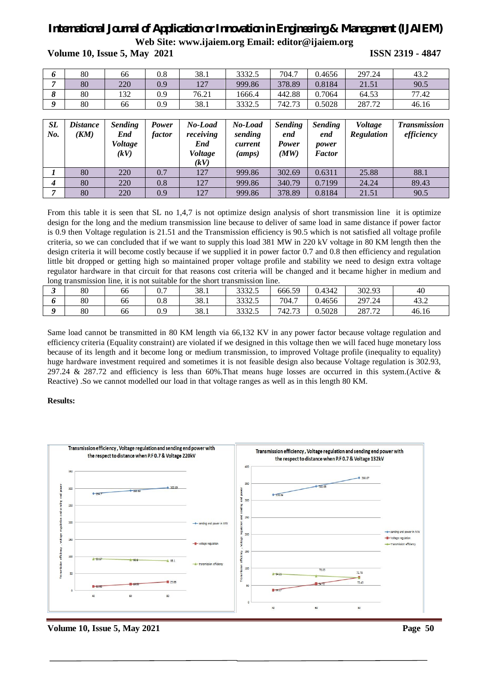**Volume 10, Issue 5, May 2021 ISSN 2319 - 4847**

| 220<br>378.89<br>80<br>1 <sub>2</sub><br>0.9<br>999.86<br>0.8184<br>21.51<br>1/1<br>80<br>442.88<br>132<br>0.9<br>64.53<br>0.7064<br>76.21<br>1666.4 | 90.5  |
|------------------------------------------------------------------------------------------------------------------------------------------------------|-------|
|                                                                                                                                                      |       |
|                                                                                                                                                      | 77.42 |
| 80<br>0.9<br>38.1<br>742.7<br>3332.5<br>-73<br>0.5028<br>287.72<br>66                                                                                | 46.16 |

| <b>SL</b><br>No. | <i><b>Distance</b></i><br>(KM) | <b>Sending</b><br>End<br>Voltage<br>(kV) | Power<br>factor | No-Load<br>receiving<br>End<br><i>Voltage</i><br>(kV) | No-Load<br>sending<br>current<br>(amps) | <b>Sending</b><br>end<br>Power<br>(MW) | <b>Sending</b><br>end<br>power<br><b>Factor</b> | <i>Voltage</i><br><b>Regulation</b> | <b>Transmission</b><br>efficiency |
|------------------|--------------------------------|------------------------------------------|-----------------|-------------------------------------------------------|-----------------------------------------|----------------------------------------|-------------------------------------------------|-------------------------------------|-----------------------------------|
|                  | 80                             | 220                                      | 0.7             | 127                                                   | 999.86                                  | 302.69                                 | 0.6311                                          | 25.88                               | 88.1                              |
| 4                | 80                             | 220                                      | 0.8             | 127                                                   | 999.86                                  | 340.79                                 | 0.7199                                          | 24.24                               | 89.43                             |
| 7                | 80                             | 220                                      | 0.9             | 127                                                   | 999.86                                  | 378.89                                 | 0.8184                                          | 21.51                               | 90.5                              |

From this table it is seen that SL no 1,4,7 is not optimize design analysis of short transmission line it is optimize design for the long and the medium transmission line because to deliver of same load in same distance if power factor is 0.9 then Voltage regulation is 21.51 and the Transmission efficiency is 90.5 which is not satisfied all voltage profile criteria, so we can concluded that if we want to supply this load 381 MW in 220 kV voltage in 80 KM length then the design criteria it will become costly because if we supplied it in power factor 0.7 and 0.8 then efficiency and regulation little bit dropped or getting high so maintained proper voltage profile and stability we need to design extra voltage regulator hardware in that circuit for that reasons cost criteria will be changed and it became higher in medium and long transmission line, it is not suitable for the short transmission line.

| ັ | 80 | 66 | n 7<br>v., | 38.1 | 33325<br>JJJ4.J | 666.59 | 0.4342 | 302.93 | 40    |
|---|----|----|------------|------|-----------------|--------|--------|--------|-------|
|   | 80 | 66 | $_{0.8}$   | 38.1 | 3332.5          | 704.7  | 0.4656 | 297.24 | 43.2  |
|   | 80 | 66 | 0.9        | 38.1 | 33325<br>JJJ4.J | 742.73 | 0.5028 | 287.72 | 46.16 |

Same load cannot be transmitted in 80 KM length via 66,132 KV in any power factor because voltage regulation and efficiency criteria (Equality constraint) are violated if we designed in this voltage then we will faced huge monetary loss because of its length and it become long or medium transmission, to improved Voltage profile (inequality to equality) huge hardware investment required and sometimes it is not feasible design also because Voltage regulation is 302.93, 297.24 & 287.72 and efficiency is less than 60%.That means huge losses are occurred in this system.(Active & Reactive) .So we cannot modelled our load in that voltage ranges as well as in this length 80 KM.

#### **Results:**



**Volume 10, Issue 5, May 2021** Page 50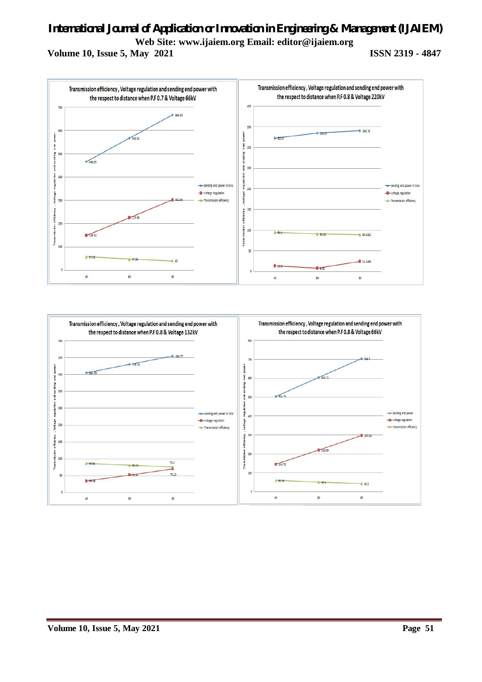**Volume 10, Issue 5, May 2021 ISSN 2319 - 4847**



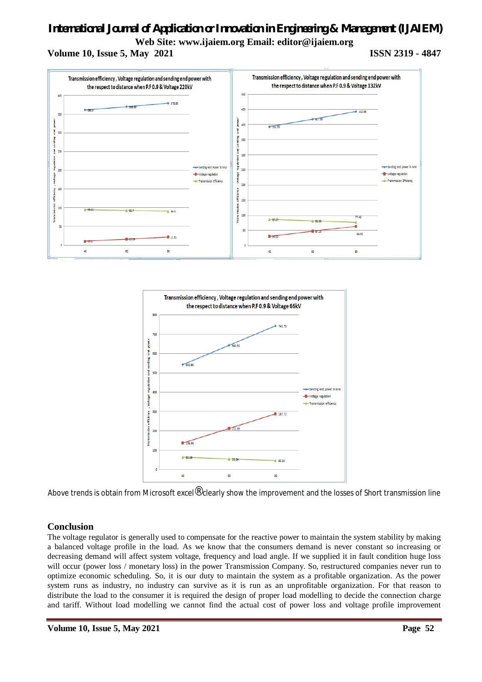## *International Journal of Application or Innovation in Engineering & Management (IJAIEM)*

**Web Site: www.ijaiem.org Email: editor@ijaiem.org**

**Volume 10, Issue 5, May 2021 ISSN 2319 - 4847**





Above trends is obtain from Microsoft excel<sup>®</sup> clearly show the improvement and the losses of Short transmission line

### **Conclusion**

The voltage regulator is generally used to compensate for the reactive power to maintain the system stability by making a balanced voltage profile in the load. As we know that the consumers demand is never constant so increasing or decreasing demand will affect system voltage, frequency and load angle. If we supplied it in fault condition huge loss will occur (power loss / monetary loss) in the power Transmission Company. So, restructured companies never run to optimize economic scheduling. So, it is our duty to maintain the system as a profitable organization. As the power system runs as industry, no industry can survive as it is run as an unprofitable organization. For that reason to distribute the load to the consumer it is required the design of proper load modelling to decide the connection charge and tariff. Without load modelling we cannot find the actual cost of power loss and voltage profile improvement